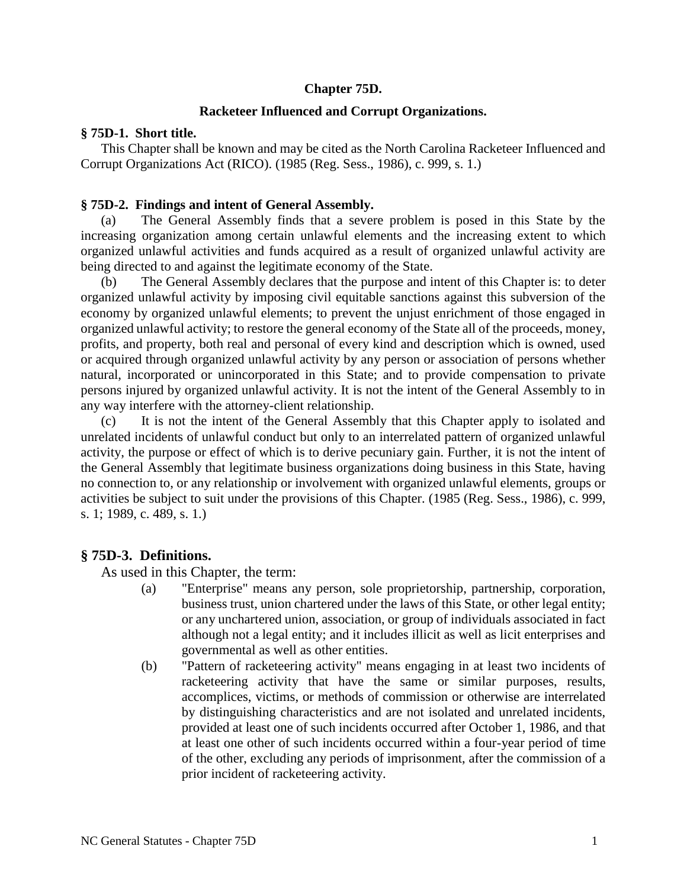### **Chapter 75D.**

## **Racketeer Influenced and Corrupt Organizations.**

## **§ 75D-1. Short title.**

This Chapter shall be known and may be cited as the North Carolina Racketeer Influenced and Corrupt Organizations Act (RICO). (1985 (Reg. Sess., 1986), c. 999, s. 1.)

### **§ 75D-2. Findings and intent of General Assembly.**

(a) The General Assembly finds that a severe problem is posed in this State by the increasing organization among certain unlawful elements and the increasing extent to which organized unlawful activities and funds acquired as a result of organized unlawful activity are being directed to and against the legitimate economy of the State.

(b) The General Assembly declares that the purpose and intent of this Chapter is: to deter organized unlawful activity by imposing civil equitable sanctions against this subversion of the economy by organized unlawful elements; to prevent the unjust enrichment of those engaged in organized unlawful activity; to restore the general economy of the State all of the proceeds, money, profits, and property, both real and personal of every kind and description which is owned, used or acquired through organized unlawful activity by any person or association of persons whether natural, incorporated or unincorporated in this State; and to provide compensation to private persons injured by organized unlawful activity. It is not the intent of the General Assembly to in any way interfere with the attorney-client relationship.

(c) It is not the intent of the General Assembly that this Chapter apply to isolated and unrelated incidents of unlawful conduct but only to an interrelated pattern of organized unlawful activity, the purpose or effect of which is to derive pecuniary gain. Further, it is not the intent of the General Assembly that legitimate business organizations doing business in this State, having no connection to, or any relationship or involvement with organized unlawful elements, groups or activities be subject to suit under the provisions of this Chapter. (1985 (Reg. Sess., 1986), c. 999, s. 1; 1989, c. 489, s. 1.)

## **§ 75D-3. Definitions.**

As used in this Chapter, the term:

- (a) "Enterprise" means any person, sole proprietorship, partnership, corporation, business trust, union chartered under the laws of this State, or other legal entity; or any unchartered union, association, or group of individuals associated in fact although not a legal entity; and it includes illicit as well as licit enterprises and governmental as well as other entities.
- (b) "Pattern of racketeering activity" means engaging in at least two incidents of racketeering activity that have the same or similar purposes, results, accomplices, victims, or methods of commission or otherwise are interrelated by distinguishing characteristics and are not isolated and unrelated incidents, provided at least one of such incidents occurred after October 1, 1986, and that at least one other of such incidents occurred within a four-year period of time of the other, excluding any periods of imprisonment, after the commission of a prior incident of racketeering activity.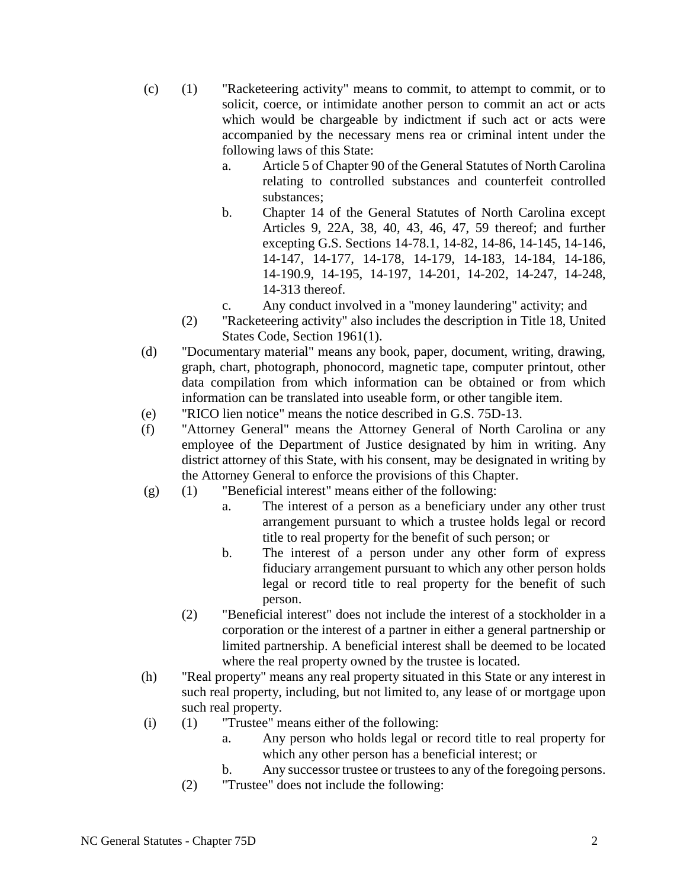- (c) (1) "Racketeering activity" means to commit, to attempt to commit, or to solicit, coerce, or intimidate another person to commit an act or acts which would be chargeable by indictment if such act or acts were accompanied by the necessary mens rea or criminal intent under the following laws of this State:
	- a. Article 5 of Chapter 90 of the General Statutes of North Carolina relating to controlled substances and counterfeit controlled substances;
	- b. Chapter 14 of the General Statutes of North Carolina except Articles 9, 22A, 38, 40, 43, 46, 47, 59 thereof; and further excepting G.S. Sections 14-78.1, 14-82, 14-86, 14-145, 14-146, 14-147, 14-177, 14-178, 14-179, 14-183, 14-184, 14-186, 14-190.9, 14-195, 14-197, 14-201, 14-202, 14-247, 14-248, 14-313 thereof.
	- c. Any conduct involved in a "money laundering" activity; and
	- (2) "Racketeering activity" also includes the description in Title 18, United States Code, Section 1961(1).
- (d) "Documentary material" means any book, paper, document, writing, drawing, graph, chart, photograph, phonocord, magnetic tape, computer printout, other data compilation from which information can be obtained or from which information can be translated into useable form, or other tangible item.
- (e) "RICO lien notice" means the notice described in G.S. 75D-13.
- (f) "Attorney General" means the Attorney General of North Carolina or any employee of the Department of Justice designated by him in writing. Any district attorney of this State, with his consent, may be designated in writing by the Attorney General to enforce the provisions of this Chapter.
- (g) (1) "Beneficial interest" means either of the following:
	- a. The interest of a person as a beneficiary under any other trust arrangement pursuant to which a trustee holds legal or record title to real property for the benefit of such person; or
	- b. The interest of a person under any other form of express fiduciary arrangement pursuant to which any other person holds legal or record title to real property for the benefit of such person.
	- (2) "Beneficial interest" does not include the interest of a stockholder in a corporation or the interest of a partner in either a general partnership or limited partnership. A beneficial interest shall be deemed to be located where the real property owned by the trustee is located.
- (h) "Real property" means any real property situated in this State or any interest in such real property, including, but not limited to, any lease of or mortgage upon such real property.
- (i) (1) "Trustee" means either of the following:
	- a. Any person who holds legal or record title to real property for which any other person has a beneficial interest; or
	- b. Any successor trustee or trustees to any of the foregoing persons.
	- (2) "Trustee" does not include the following: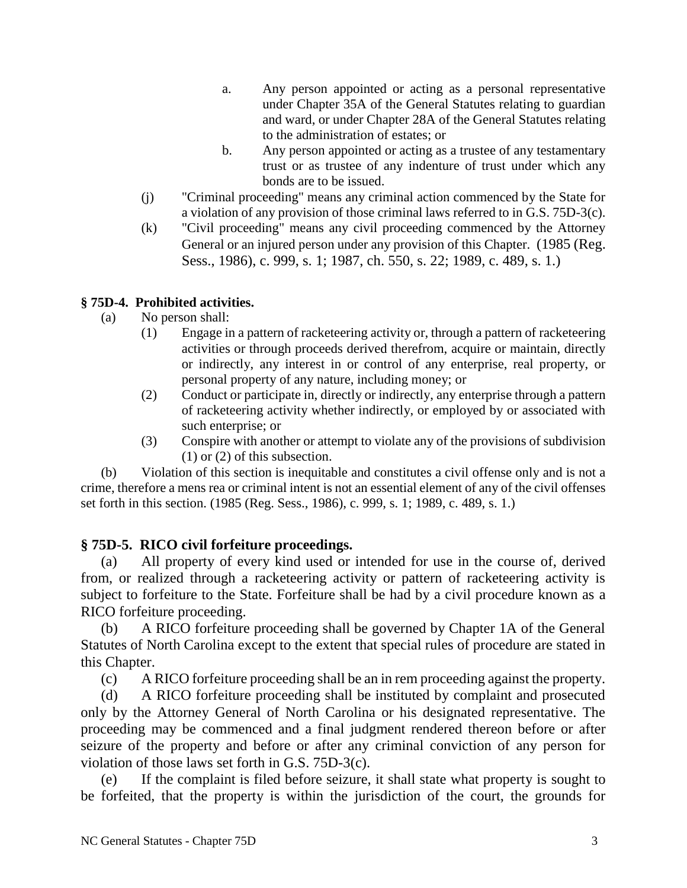- a. Any person appointed or acting as a personal representative under Chapter 35A of the General Statutes relating to guardian and ward, or under Chapter 28A of the General Statutes relating to the administration of estates; or
- b. Any person appointed or acting as a trustee of any testamentary trust or as trustee of any indenture of trust under which any bonds are to be issued.
- (j) "Criminal proceeding" means any criminal action commenced by the State for a violation of any provision of those criminal laws referred to in G.S. 75D-3(c).
- (k) "Civil proceeding" means any civil proceeding commenced by the Attorney General or an injured person under any provision of this Chapter. (1985 (Reg. Sess., 1986), c. 999, s. 1; 1987, ch. 550, s. 22; 1989, c. 489, s. 1.)

## **§ 75D-4. Prohibited activities.**

- (a) No person shall:
	- (1) Engage in a pattern of racketeering activity or, through a pattern of racketeering activities or through proceeds derived therefrom, acquire or maintain, directly or indirectly, any interest in or control of any enterprise, real property, or personal property of any nature, including money; or
	- (2) Conduct or participate in, directly or indirectly, any enterprise through a pattern of racketeering activity whether indirectly, or employed by or associated with such enterprise; or
	- (3) Conspire with another or attempt to violate any of the provisions of subdivision (1) or (2) of this subsection.

(b) Violation of this section is inequitable and constitutes a civil offense only and is not a crime, therefore a mens rea or criminal intent is not an essential element of any of the civil offenses set forth in this section. (1985 (Reg. Sess., 1986), c. 999, s. 1; 1989, c. 489, s. 1.)

# **§ 75D-5. RICO civil forfeiture proceedings.**

(a) All property of every kind used or intended for use in the course of, derived from, or realized through a racketeering activity or pattern of racketeering activity is subject to forfeiture to the State. Forfeiture shall be had by a civil procedure known as a RICO forfeiture proceeding.

(b) A RICO forfeiture proceeding shall be governed by Chapter 1A of the General Statutes of North Carolina except to the extent that special rules of procedure are stated in this Chapter.

(c) A RICO forfeiture proceeding shall be an in rem proceeding against the property.

(d) A RICO forfeiture proceeding shall be instituted by complaint and prosecuted only by the Attorney General of North Carolina or his designated representative. The proceeding may be commenced and a final judgment rendered thereon before or after seizure of the property and before or after any criminal conviction of any person for violation of those laws set forth in G.S. 75D-3(c).

(e) If the complaint is filed before seizure, it shall state what property is sought to be forfeited, that the property is within the jurisdiction of the court, the grounds for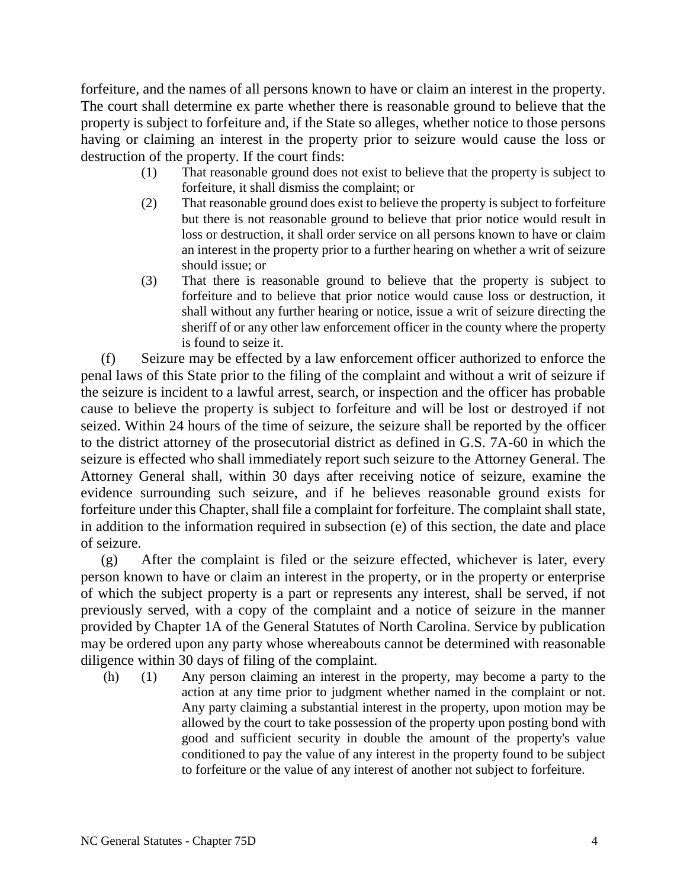forfeiture, and the names of all persons known to have or claim an interest in the property. The court shall determine ex parte whether there is reasonable ground to believe that the property is subject to forfeiture and, if the State so alleges, whether notice to those persons having or claiming an interest in the property prior to seizure would cause the loss or destruction of the property. If the court finds:

- (1) That reasonable ground does not exist to believe that the property is subject to forfeiture, it shall dismiss the complaint; or
- (2) That reasonable ground does exist to believe the property is subject to forfeiture but there is not reasonable ground to believe that prior notice would result in loss or destruction, it shall order service on all persons known to have or claim an interest in the property prior to a further hearing on whether a writ of seizure should issue; or
- (3) That there is reasonable ground to believe that the property is subject to forfeiture and to believe that prior notice would cause loss or destruction, it shall without any further hearing or notice, issue a writ of seizure directing the sheriff of or any other law enforcement officer in the county where the property is found to seize it.

(f) Seizure may be effected by a law enforcement officer authorized to enforce the penal laws of this State prior to the filing of the complaint and without a writ of seizure if the seizure is incident to a lawful arrest, search, or inspection and the officer has probable cause to believe the property is subject to forfeiture and will be lost or destroyed if not seized. Within 24 hours of the time of seizure, the seizure shall be reported by the officer to the district attorney of the prosecutorial district as defined in G.S. 7A-60 in which the seizure is effected who shall immediately report such seizure to the Attorney General. The Attorney General shall, within 30 days after receiving notice of seizure, examine the evidence surrounding such seizure, and if he believes reasonable ground exists for forfeiture under this Chapter, shall file a complaint for forfeiture. The complaint shall state, in addition to the information required in subsection (e) of this section, the date and place of seizure.

(g) After the complaint is filed or the seizure effected, whichever is later, every person known to have or claim an interest in the property, or in the property or enterprise of which the subject property is a part or represents any interest, shall be served, if not previously served, with a copy of the complaint and a notice of seizure in the manner provided by Chapter 1A of the General Statutes of North Carolina. Service by publication may be ordered upon any party whose whereabouts cannot be determined with reasonable diligence within 30 days of filing of the complaint.

(h) (1) Any person claiming an interest in the property, may become a party to the action at any time prior to judgment whether named in the complaint or not. Any party claiming a substantial interest in the property, upon motion may be allowed by the court to take possession of the property upon posting bond with good and sufficient security in double the amount of the property's value conditioned to pay the value of any interest in the property found to be subject to forfeiture or the value of any interest of another not subject to forfeiture.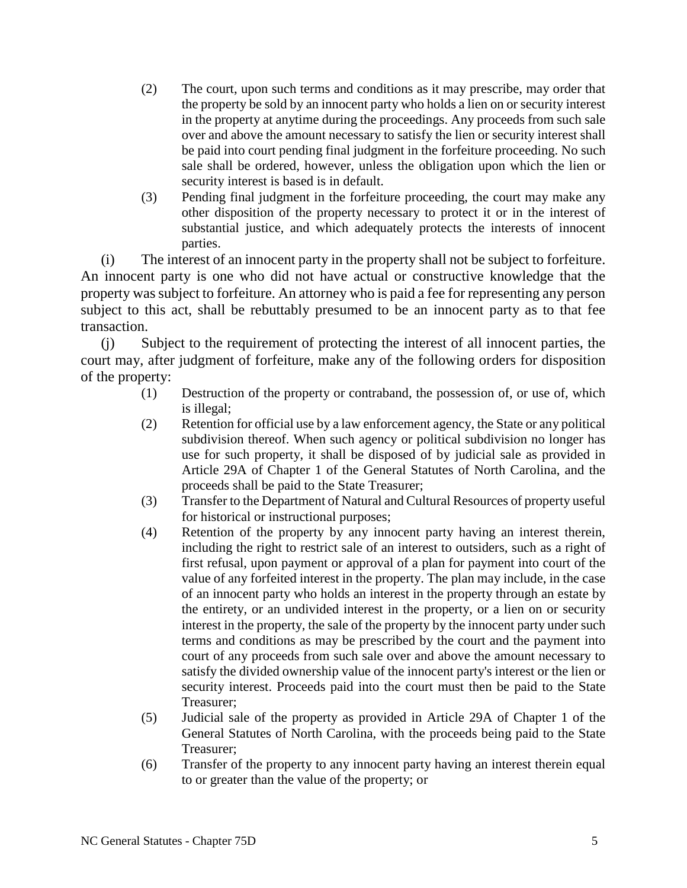- (2) The court, upon such terms and conditions as it may prescribe, may order that the property be sold by an innocent party who holds a lien on or security interest in the property at anytime during the proceedings. Any proceeds from such sale over and above the amount necessary to satisfy the lien or security interest shall be paid into court pending final judgment in the forfeiture proceeding. No such sale shall be ordered, however, unless the obligation upon which the lien or security interest is based is in default.
- (3) Pending final judgment in the forfeiture proceeding, the court may make any other disposition of the property necessary to protect it or in the interest of substantial justice, and which adequately protects the interests of innocent parties.

(i) The interest of an innocent party in the property shall not be subject to forfeiture. An innocent party is one who did not have actual or constructive knowledge that the property was subject to forfeiture. An attorney who is paid a fee for representing any person subject to this act, shall be rebuttably presumed to be an innocent party as to that fee transaction.

(j) Subject to the requirement of protecting the interest of all innocent parties, the court may, after judgment of forfeiture, make any of the following orders for disposition of the property:

- (1) Destruction of the property or contraband, the possession of, or use of, which is illegal;
- (2) Retention for official use by a law enforcement agency, the State or any political subdivision thereof. When such agency or political subdivision no longer has use for such property, it shall be disposed of by judicial sale as provided in Article 29A of Chapter 1 of the General Statutes of North Carolina, and the proceeds shall be paid to the State Treasurer;
- (3) Transfer to the Department of Natural and Cultural Resources of property useful for historical or instructional purposes;
- (4) Retention of the property by any innocent party having an interest therein, including the right to restrict sale of an interest to outsiders, such as a right of first refusal, upon payment or approval of a plan for payment into court of the value of any forfeited interest in the property. The plan may include, in the case of an innocent party who holds an interest in the property through an estate by the entirety, or an undivided interest in the property, or a lien on or security interest in the property, the sale of the property by the innocent party under such terms and conditions as may be prescribed by the court and the payment into court of any proceeds from such sale over and above the amount necessary to satisfy the divided ownership value of the innocent party's interest or the lien or security interest. Proceeds paid into the court must then be paid to the State Treasurer;
- (5) Judicial sale of the property as provided in Article 29A of Chapter 1 of the General Statutes of North Carolina, with the proceeds being paid to the State Treasurer;
- (6) Transfer of the property to any innocent party having an interest therein equal to or greater than the value of the property; or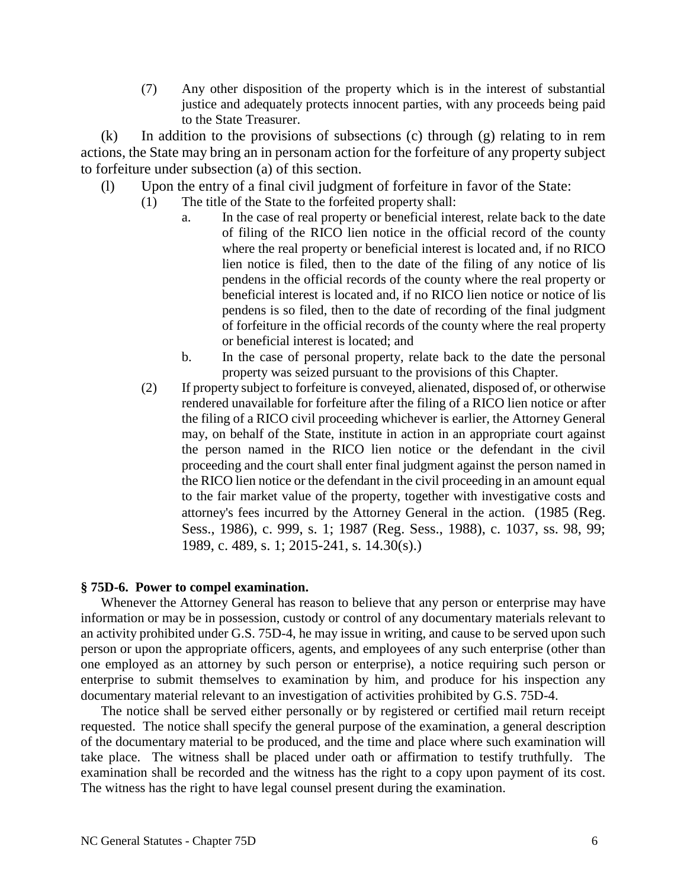(7) Any other disposition of the property which is in the interest of substantial justice and adequately protects innocent parties, with any proceeds being paid to the State Treasurer.

(k) In addition to the provisions of subsections (c) through (g) relating to in rem actions, the State may bring an in personam action for the forfeiture of any property subject to forfeiture under subsection (a) of this section.

- (l) Upon the entry of a final civil judgment of forfeiture in favor of the State:
	- (1) The title of the State to the forfeited property shall:
		- a. In the case of real property or beneficial interest, relate back to the date of filing of the RICO lien notice in the official record of the county where the real property or beneficial interest is located and, if no RICO lien notice is filed, then to the date of the filing of any notice of lis pendens in the official records of the county where the real property or beneficial interest is located and, if no RICO lien notice or notice of lis pendens is so filed, then to the date of recording of the final judgment of forfeiture in the official records of the county where the real property or beneficial interest is located; and
		- b. In the case of personal property, relate back to the date the personal property was seized pursuant to the provisions of this Chapter.
		- (2) If property subject to forfeiture is conveyed, alienated, disposed of, or otherwise rendered unavailable for forfeiture after the filing of a RICO lien notice or after the filing of a RICO civil proceeding whichever is earlier, the Attorney General may, on behalf of the State, institute in action in an appropriate court against the person named in the RICO lien notice or the defendant in the civil proceeding and the court shall enter final judgment against the person named in the RICO lien notice or the defendant in the civil proceeding in an amount equal to the fair market value of the property, together with investigative costs and attorney's fees incurred by the Attorney General in the action. (1985 (Reg. Sess., 1986), c. 999, s. 1; 1987 (Reg. Sess., 1988), c. 1037, ss. 98, 99; 1989, c. 489, s. 1; 2015-241, s. 14.30(s).)

#### **§ 75D-6. Power to compel examination.**

Whenever the Attorney General has reason to believe that any person or enterprise may have information or may be in possession, custody or control of any documentary materials relevant to an activity prohibited under G.S. 75D-4, he may issue in writing, and cause to be served upon such person or upon the appropriate officers, agents, and employees of any such enterprise (other than one employed as an attorney by such person or enterprise), a notice requiring such person or enterprise to submit themselves to examination by him, and produce for his inspection any documentary material relevant to an investigation of activities prohibited by G.S. 75D-4.

The notice shall be served either personally or by registered or certified mail return receipt requested. The notice shall specify the general purpose of the examination, a general description of the documentary material to be produced, and the time and place where such examination will take place. The witness shall be placed under oath or affirmation to testify truthfully. The examination shall be recorded and the witness has the right to a copy upon payment of its cost. The witness has the right to have legal counsel present during the examination.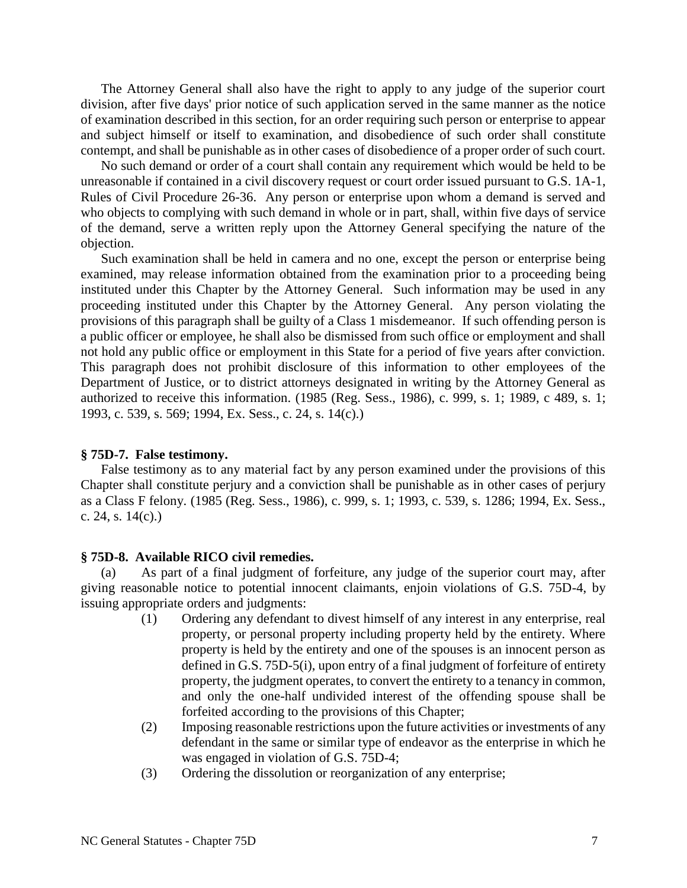The Attorney General shall also have the right to apply to any judge of the superior court division, after five days' prior notice of such application served in the same manner as the notice of examination described in this section, for an order requiring such person or enterprise to appear and subject himself or itself to examination, and disobedience of such order shall constitute contempt, and shall be punishable as in other cases of disobedience of a proper order of such court.

No such demand or order of a court shall contain any requirement which would be held to be unreasonable if contained in a civil discovery request or court order issued pursuant to G.S. 1A-1, Rules of Civil Procedure 26-36. Any person or enterprise upon whom a demand is served and who objects to complying with such demand in whole or in part, shall, within five days of service of the demand, serve a written reply upon the Attorney General specifying the nature of the objection.

Such examination shall be held in camera and no one, except the person or enterprise being examined, may release information obtained from the examination prior to a proceeding being instituted under this Chapter by the Attorney General. Such information may be used in any proceeding instituted under this Chapter by the Attorney General. Any person violating the provisions of this paragraph shall be guilty of a Class 1 misdemeanor. If such offending person is a public officer or employee, he shall also be dismissed from such office or employment and shall not hold any public office or employment in this State for a period of five years after conviction. This paragraph does not prohibit disclosure of this information to other employees of the Department of Justice, or to district attorneys designated in writing by the Attorney General as authorized to receive this information. (1985 (Reg. Sess., 1986), c. 999, s. 1; 1989, c 489, s. 1; 1993, c. 539, s. 569; 1994, Ex. Sess., c. 24, s. 14(c).)

#### **§ 75D-7. False testimony.**

False testimony as to any material fact by any person examined under the provisions of this Chapter shall constitute perjury and a conviction shall be punishable as in other cases of perjury as a Class F felony. (1985 (Reg. Sess., 1986), c. 999, s. 1; 1993, c. 539, s. 1286; 1994, Ex. Sess., c. 24, s. 14(c).)

#### **§ 75D-8. Available RICO civil remedies.**

(a) As part of a final judgment of forfeiture, any judge of the superior court may, after giving reasonable notice to potential innocent claimants, enjoin violations of G.S. 75D-4, by issuing appropriate orders and judgments:

- (1) Ordering any defendant to divest himself of any interest in any enterprise, real property, or personal property including property held by the entirety. Where property is held by the entirety and one of the spouses is an innocent person as defined in G.S. 75D-5(i), upon entry of a final judgment of forfeiture of entirety property, the judgment operates, to convert the entirety to a tenancy in common, and only the one-half undivided interest of the offending spouse shall be forfeited according to the provisions of this Chapter;
- (2) Imposing reasonable restrictions upon the future activities or investments of any defendant in the same or similar type of endeavor as the enterprise in which he was engaged in violation of G.S. 75D-4;
- (3) Ordering the dissolution or reorganization of any enterprise;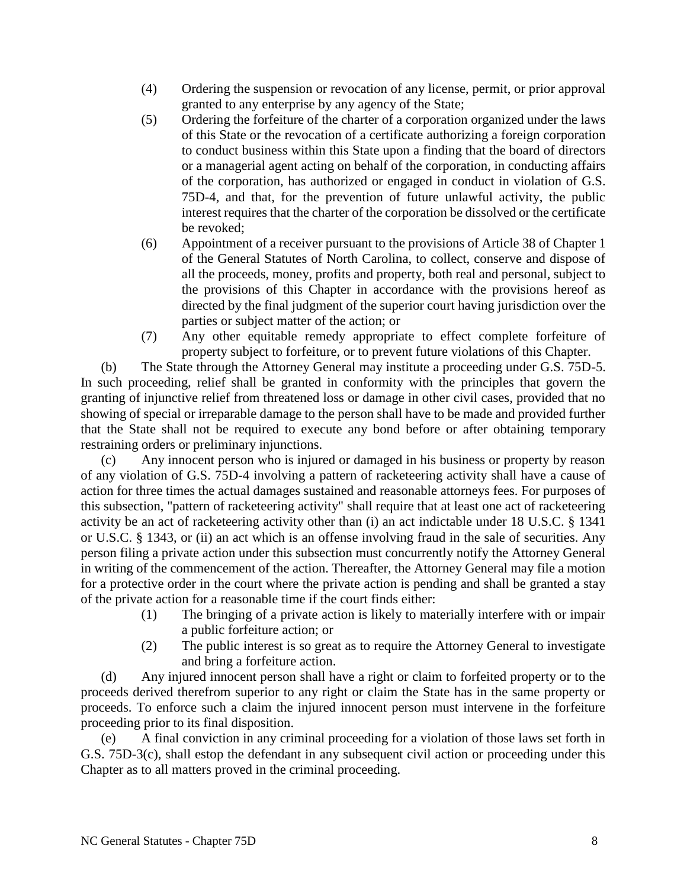- (4) Ordering the suspension or revocation of any license, permit, or prior approval granted to any enterprise by any agency of the State;
- (5) Ordering the forfeiture of the charter of a corporation organized under the laws of this State or the revocation of a certificate authorizing a foreign corporation to conduct business within this State upon a finding that the board of directors or a managerial agent acting on behalf of the corporation, in conducting affairs of the corporation, has authorized or engaged in conduct in violation of G.S. 75D-4, and that, for the prevention of future unlawful activity, the public interest requires that the charter of the corporation be dissolved or the certificate be revoked;
- (6) Appointment of a receiver pursuant to the provisions of Article 38 of Chapter 1 of the General Statutes of North Carolina, to collect, conserve and dispose of all the proceeds, money, profits and property, both real and personal, subject to the provisions of this Chapter in accordance with the provisions hereof as directed by the final judgment of the superior court having jurisdiction over the parties or subject matter of the action; or
- (7) Any other equitable remedy appropriate to effect complete forfeiture of property subject to forfeiture, or to prevent future violations of this Chapter.

(b) The State through the Attorney General may institute a proceeding under G.S. 75D-5. In such proceeding, relief shall be granted in conformity with the principles that govern the granting of injunctive relief from threatened loss or damage in other civil cases, provided that no showing of special or irreparable damage to the person shall have to be made and provided further that the State shall not be required to execute any bond before or after obtaining temporary restraining orders or preliminary injunctions.

(c) Any innocent person who is injured or damaged in his business or property by reason of any violation of G.S. 75D-4 involving a pattern of racketeering activity shall have a cause of action for three times the actual damages sustained and reasonable attorneys fees. For purposes of this subsection, "pattern of racketeering activity" shall require that at least one act of racketeering activity be an act of racketeering activity other than (i) an act indictable under 18 U.S.C. § 1341 or U.S.C. § 1343, or (ii) an act which is an offense involving fraud in the sale of securities. Any person filing a private action under this subsection must concurrently notify the Attorney General in writing of the commencement of the action. Thereafter, the Attorney General may file a motion for a protective order in the court where the private action is pending and shall be granted a stay of the private action for a reasonable time if the court finds either:

- (1) The bringing of a private action is likely to materially interfere with or impair a public forfeiture action; or
- (2) The public interest is so great as to require the Attorney General to investigate and bring a forfeiture action.

(d) Any injured innocent person shall have a right or claim to forfeited property or to the proceeds derived therefrom superior to any right or claim the State has in the same property or proceeds. To enforce such a claim the injured innocent person must intervene in the forfeiture proceeding prior to its final disposition.

(e) A final conviction in any criminal proceeding for a violation of those laws set forth in G.S. 75D-3(c), shall estop the defendant in any subsequent civil action or proceeding under this Chapter as to all matters proved in the criminal proceeding.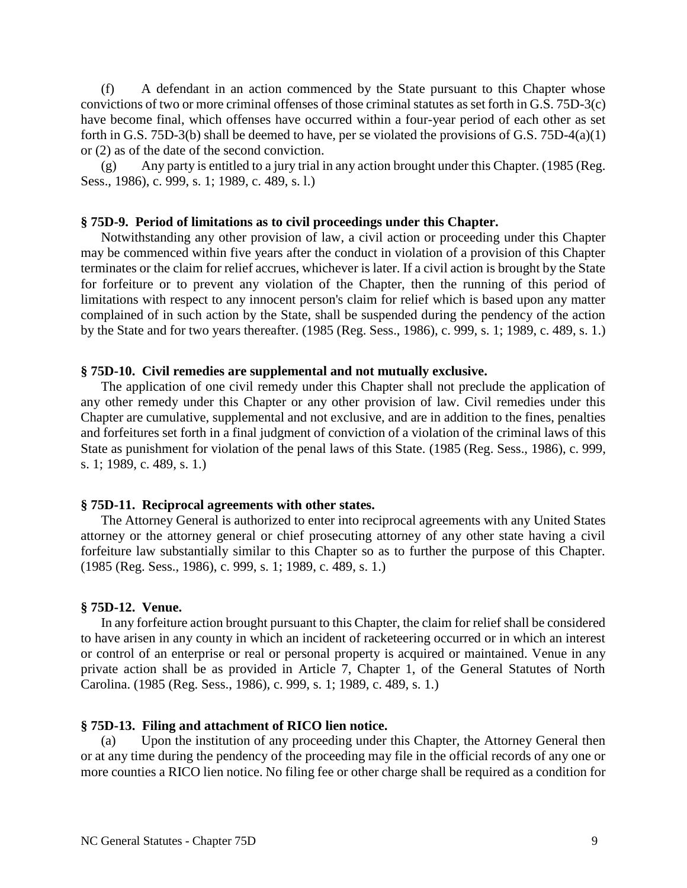(f) A defendant in an action commenced by the State pursuant to this Chapter whose convictions of two or more criminal offenses of those criminal statutes as set forth in G.S. 75D-3(c) have become final, which offenses have occurred within a four-year period of each other as set forth in G.S. 75D-3(b) shall be deemed to have, per se violated the provisions of G.S. 75D-4(a)(1) or (2) as of the date of the second conviction.

(g) Any party is entitled to a jury trial in any action brought under this Chapter. (1985 (Reg. Sess., 1986), c. 999, s. 1; 1989, c. 489, s. l.)

#### **§ 75D-9. Period of limitations as to civil proceedings under this Chapter.**

Notwithstanding any other provision of law, a civil action or proceeding under this Chapter may be commenced within five years after the conduct in violation of a provision of this Chapter terminates or the claim for relief accrues, whichever is later. If a civil action is brought by the State for forfeiture or to prevent any violation of the Chapter, then the running of this period of limitations with respect to any innocent person's claim for relief which is based upon any matter complained of in such action by the State, shall be suspended during the pendency of the action by the State and for two years thereafter. (1985 (Reg. Sess., 1986), c. 999, s. 1; 1989, c. 489, s. 1.)

#### **§ 75D-10. Civil remedies are supplemental and not mutually exclusive.**

The application of one civil remedy under this Chapter shall not preclude the application of any other remedy under this Chapter or any other provision of law. Civil remedies under this Chapter are cumulative, supplemental and not exclusive, and are in addition to the fines, penalties and forfeitures set forth in a final judgment of conviction of a violation of the criminal laws of this State as punishment for violation of the penal laws of this State. (1985 (Reg. Sess., 1986), c. 999, s. 1; 1989, c. 489, s. 1.)

#### **§ 75D-11. Reciprocal agreements with other states.**

The Attorney General is authorized to enter into reciprocal agreements with any United States attorney or the attorney general or chief prosecuting attorney of any other state having a civil forfeiture law substantially similar to this Chapter so as to further the purpose of this Chapter. (1985 (Reg. Sess., 1986), c. 999, s. 1; 1989, c. 489, s. 1.)

#### **§ 75D-12. Venue.**

In any forfeiture action brought pursuant to this Chapter, the claim for relief shall be considered to have arisen in any county in which an incident of racketeering occurred or in which an interest or control of an enterprise or real or personal property is acquired or maintained. Venue in any private action shall be as provided in Article 7, Chapter 1, of the General Statutes of North Carolina. (1985 (Reg. Sess., 1986), c. 999, s. 1; 1989, c. 489, s. 1.)

#### **§ 75D-13. Filing and attachment of RICO lien notice.**

(a) Upon the institution of any proceeding under this Chapter, the Attorney General then or at any time during the pendency of the proceeding may file in the official records of any one or more counties a RICO lien notice. No filing fee or other charge shall be required as a condition for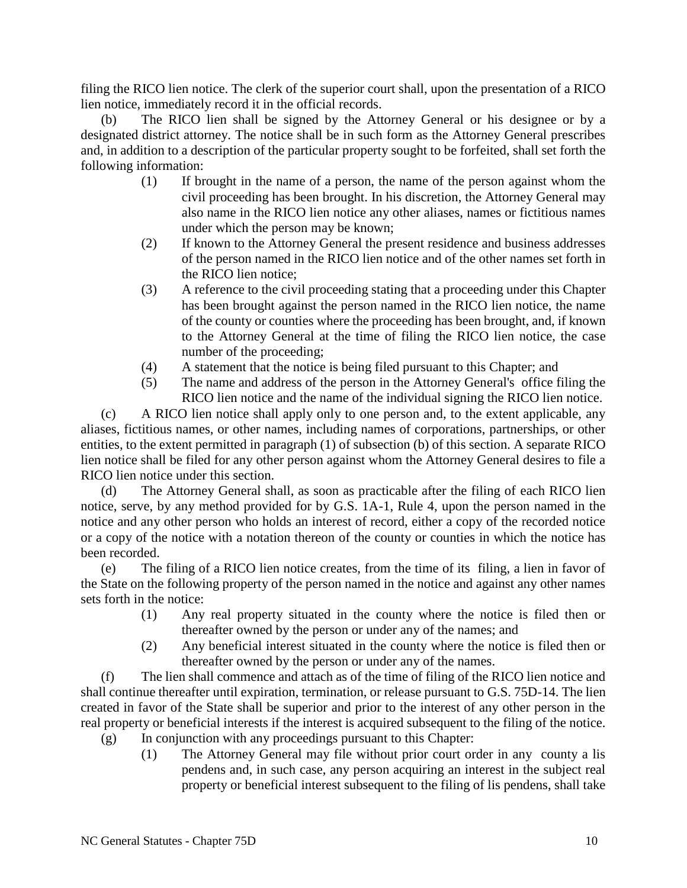filing the RICO lien notice. The clerk of the superior court shall, upon the presentation of a RICO lien notice, immediately record it in the official records.

(b) The RICO lien shall be signed by the Attorney General or his designee or by a designated district attorney. The notice shall be in such form as the Attorney General prescribes and, in addition to a description of the particular property sought to be forfeited, shall set forth the following information:

- (1) If brought in the name of a person, the name of the person against whom the civil proceeding has been brought. In his discretion, the Attorney General may also name in the RICO lien notice any other aliases, names or fictitious names under which the person may be known;
- (2) If known to the Attorney General the present residence and business addresses of the person named in the RICO lien notice and of the other names set forth in the RICO lien notice;
- (3) A reference to the civil proceeding stating that a proceeding under this Chapter has been brought against the person named in the RICO lien notice, the name of the county or counties where the proceeding has been brought, and, if known to the Attorney General at the time of filing the RICO lien notice, the case number of the proceeding;
- (4) A statement that the notice is being filed pursuant to this Chapter; and
- (5) The name and address of the person in the Attorney General's office filing the RICO lien notice and the name of the individual signing the RICO lien notice.

(c) A RICO lien notice shall apply only to one person and, to the extent applicable, any aliases, fictitious names, or other names, including names of corporations, partnerships, or other entities, to the extent permitted in paragraph (1) of subsection (b) of this section. A separate RICO lien notice shall be filed for any other person against whom the Attorney General desires to file a RICO lien notice under this section.

(d) The Attorney General shall, as soon as practicable after the filing of each RICO lien notice, serve, by any method provided for by G.S. 1A-1, Rule 4, upon the person named in the notice and any other person who holds an interest of record, either a copy of the recorded notice or a copy of the notice with a notation thereon of the county or counties in which the notice has been recorded.

(e) The filing of a RICO lien notice creates, from the time of its filing, a lien in favor of the State on the following property of the person named in the notice and against any other names sets forth in the notice:

- (1) Any real property situated in the county where the notice is filed then or thereafter owned by the person or under any of the names; and
- (2) Any beneficial interest situated in the county where the notice is filed then or thereafter owned by the person or under any of the names.

(f) The lien shall commence and attach as of the time of filing of the RICO lien notice and shall continue thereafter until expiration, termination, or release pursuant to G.S. 75D-14. The lien created in favor of the State shall be superior and prior to the interest of any other person in the real property or beneficial interests if the interest is acquired subsequent to the filing of the notice.

- (g) In conjunction with any proceedings pursuant to this Chapter:
	- (1) The Attorney General may file without prior court order in any county a lis pendens and, in such case, any person acquiring an interest in the subject real property or beneficial interest subsequent to the filing of lis pendens, shall take